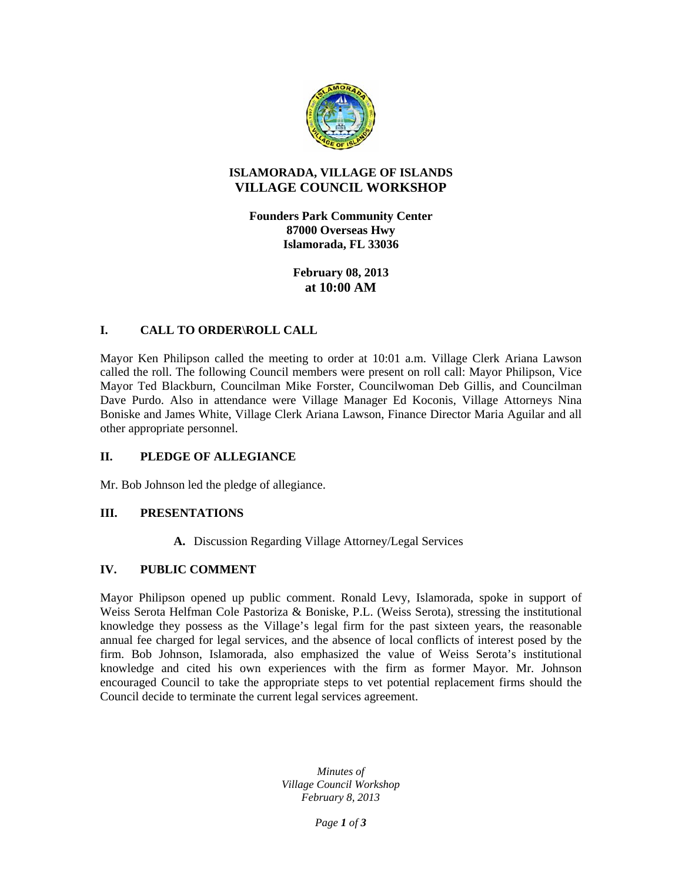

# **ISLAMORADA, VILLAGE OF ISLANDS VILLAGE COUNCIL WORKSHOP**

**Founders Park Community Center 87000 Overseas Hwy Islamorada, FL 33036** 

> **February 08, 2013 at 10:00 AM**

## **I. CALL TO ORDER\ROLL CALL**

Mayor Ken Philipson called the meeting to order at 10:01 a.m. Village Clerk Ariana Lawson called the roll. The following Council members were present on roll call: Mayor Philipson, Vice Mayor Ted Blackburn, Councilman Mike Forster, Councilwoman Deb Gillis, and Councilman Dave Purdo. Also in attendance were Village Manager Ed Koconis, Village Attorneys Nina Boniske and James White, Village Clerk Ariana Lawson, Finance Director Maria Aguilar and all other appropriate personnel.

### **II. PLEDGE OF ALLEGIANCE**

Mr. Bob Johnson led the pledge of allegiance.

### **III. PRESENTATIONS**

**A.** Discussion Regarding Village Attorney/Legal Services

## **IV. PUBLIC COMMENT**

Mayor Philipson opened up public comment. Ronald Levy, Islamorada, spoke in support of Weiss Serota Helfman Cole Pastoriza & Boniske, P.L. (Weiss Serota), stressing the institutional knowledge they possess as the Village's legal firm for the past sixteen years, the reasonable annual fee charged for legal services, and the absence of local conflicts of interest posed by the firm. Bob Johnson, Islamorada, also emphasized the value of Weiss Serota's institutional knowledge and cited his own experiences with the firm as former Mayor. Mr. Johnson encouraged Council to take the appropriate steps to vet potential replacement firms should the Council decide to terminate the current legal services agreement.

> *Minutes of Village Council Workshop February 8, 2013*

> > *Page 1 of 3*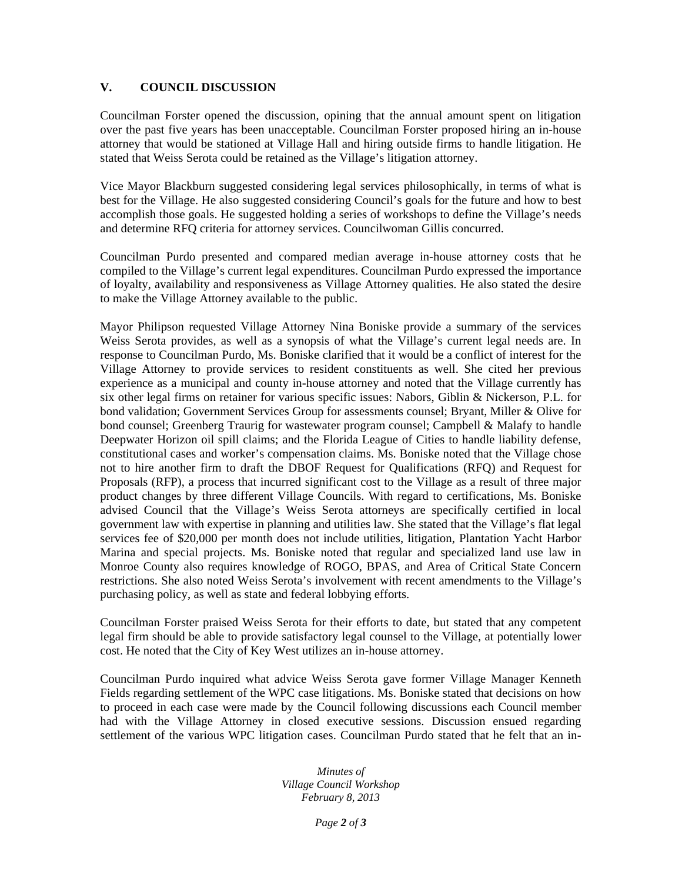## **V. COUNCIL DISCUSSION**

Councilman Forster opened the discussion, opining that the annual amount spent on litigation over the past five years has been unacceptable. Councilman Forster proposed hiring an in-house attorney that would be stationed at Village Hall and hiring outside firms to handle litigation. He stated that Weiss Serota could be retained as the Village's litigation attorney.

Vice Mayor Blackburn suggested considering legal services philosophically, in terms of what is best for the Village. He also suggested considering Council's goals for the future and how to best accomplish those goals. He suggested holding a series of workshops to define the Village's needs and determine RFQ criteria for attorney services. Councilwoman Gillis concurred.

Councilman Purdo presented and compared median average in-house attorney costs that he compiled to the Village's current legal expenditures. Councilman Purdo expressed the importance of loyalty, availability and responsiveness as Village Attorney qualities. He also stated the desire to make the Village Attorney available to the public.

Mayor Philipson requested Village Attorney Nina Boniske provide a summary of the services Weiss Serota provides, as well as a synopsis of what the Village's current legal needs are. In response to Councilman Purdo, Ms. Boniske clarified that it would be a conflict of interest for the Village Attorney to provide services to resident constituents as well. She cited her previous experience as a municipal and county in-house attorney and noted that the Village currently has six other legal firms on retainer for various specific issues: Nabors, Giblin & Nickerson, P.L. for bond validation; Government Services Group for assessments counsel; Bryant, Miller & Olive for bond counsel; Greenberg Traurig for wastewater program counsel; Campbell & Malafy to handle Deepwater Horizon oil spill claims; and the Florida League of Cities to handle liability defense, constitutional cases and worker's compensation claims. Ms. Boniske noted that the Village chose not to hire another firm to draft the DBOF Request for Qualifications (RFQ) and Request for Proposals (RFP), a process that incurred significant cost to the Village as a result of three major product changes by three different Village Councils. With regard to certifications, Ms. Boniske advised Council that the Village's Weiss Serota attorneys are specifically certified in local government law with expertise in planning and utilities law. She stated that the Village's flat legal services fee of \$20,000 per month does not include utilities, litigation, Plantation Yacht Harbor Marina and special projects. Ms. Boniske noted that regular and specialized land use law in Monroe County also requires knowledge of ROGO, BPAS, and Area of Critical State Concern restrictions. She also noted Weiss Serota's involvement with recent amendments to the Village's purchasing policy, as well as state and federal lobbying efforts.

Councilman Forster praised Weiss Serota for their efforts to date, but stated that any competent legal firm should be able to provide satisfactory legal counsel to the Village, at potentially lower cost. He noted that the City of Key West utilizes an in-house attorney.

Councilman Purdo inquired what advice Weiss Serota gave former Village Manager Kenneth Fields regarding settlement of the WPC case litigations. Ms. Boniske stated that decisions on how to proceed in each case were made by the Council following discussions each Council member had with the Village Attorney in closed executive sessions. Discussion ensued regarding settlement of the various WPC litigation cases. Councilman Purdo stated that he felt that an in-

> *Minutes of Village Council Workshop February 8, 2013*

> > *Page 2 of 3*